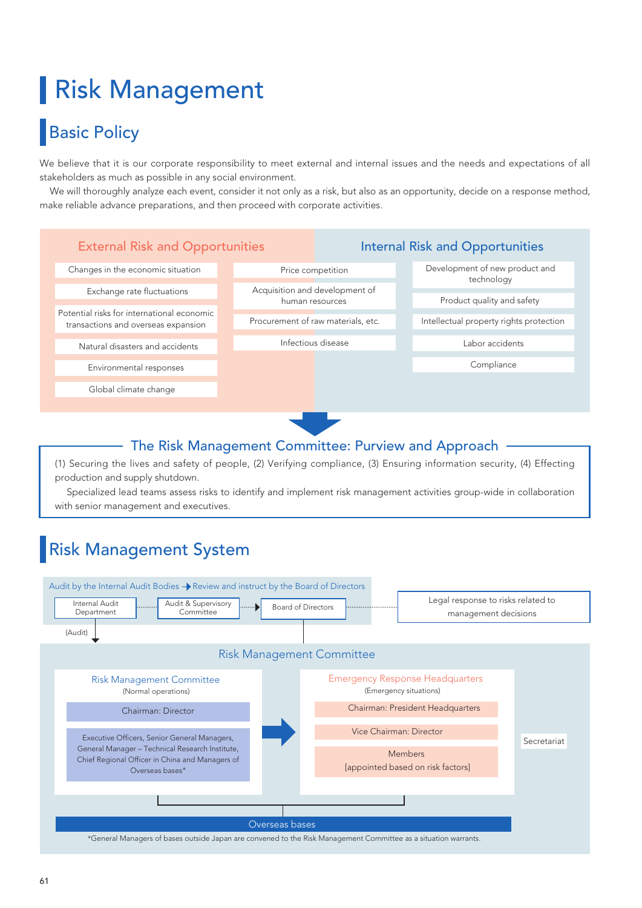# Risk Management

# **Basic Policy**

We believe that it is our corporate responsibility to meet external and internal issues and the needs and expectations of all stakeholders as much as possible in any social environment.

 We will thoroughly analyze each event, consider it not only as a risk, but also as an opportunity, decide on a response method, make reliable advance preparations, and then proceed with corporate activities.



## The Risk Management Committee: Purview and Approach

(1) Securing the lives and safety of people, (2) Verifying compliance, (3) Ensuring information security, (4) Effecting production and supply shutdown.

 Specialized lead teams assess risks to identify and implement risk management activities group-wide in collaboration with senior management and executives.

# Risk Management System

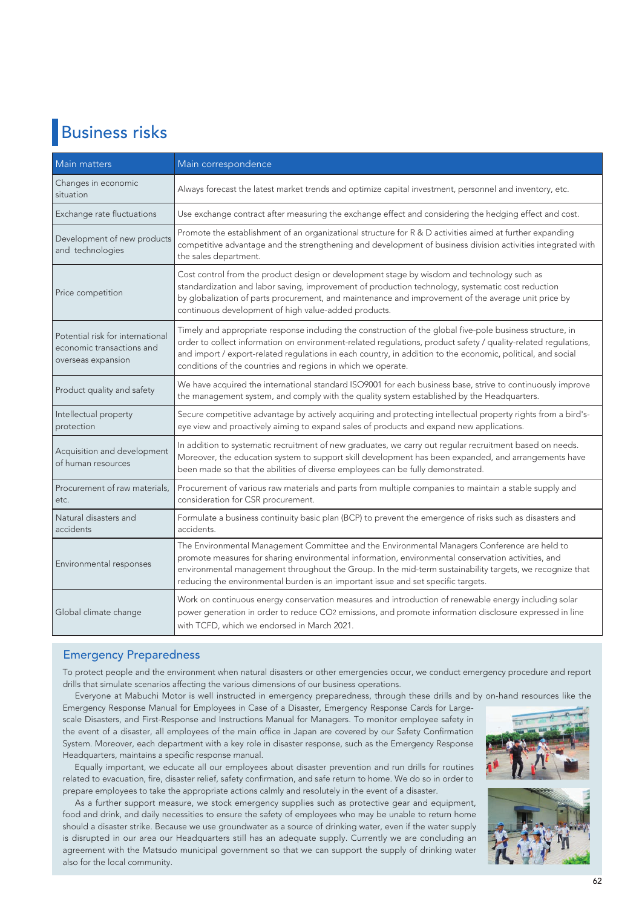# Business risks

| Main matters                                                                        | Main correspondence                                                                                                                                                                                                                                                                                                                                                                                        |
|-------------------------------------------------------------------------------------|------------------------------------------------------------------------------------------------------------------------------------------------------------------------------------------------------------------------------------------------------------------------------------------------------------------------------------------------------------------------------------------------------------|
| Changes in economic<br>situation                                                    | Always forecast the latest market trends and optimize capital investment, personnel and inventory, etc.                                                                                                                                                                                                                                                                                                    |
| Exchange rate fluctuations                                                          | Use exchange contract after measuring the exchange effect and considering the hedging effect and cost.                                                                                                                                                                                                                                                                                                     |
| Development of new products<br>and technologies                                     | Promote the establishment of an organizational structure for R & D activities aimed at further expanding<br>competitive advantage and the strengthening and development of business division activities integrated with<br>the sales department.                                                                                                                                                           |
| Price competition                                                                   | Cost control from the product design or development stage by wisdom and technology such as<br>standardization and labor saving, improvement of production technology, systematic cost reduction<br>by globalization of parts procurement, and maintenance and improvement of the average unit price by<br>continuous development of high value-added products.                                             |
| Potential risk for international<br>economic transactions and<br>overseas expansion | Timely and appropriate response including the construction of the global five-pole business structure, in<br>order to collect information on environment-related regulations, product safety / quality-related regulations,<br>and import / export-related regulations in each country, in addition to the economic, political, and social<br>conditions of the countries and regions in which we operate. |
| Product quality and safety                                                          | We have acquired the international standard ISO9001 for each business base, strive to continuously improve<br>the management system, and comply with the quality system established by the Headquarters.                                                                                                                                                                                                   |
| Intellectual property<br>protection                                                 | Secure competitive advantage by actively acquiring and protecting intellectual property rights from a bird's-<br>eye view and proactively aiming to expand sales of products and expand new applications.                                                                                                                                                                                                  |
| Acquisition and development<br>of human resources                                   | In addition to systematic recruitment of new graduates, we carry out regular recruitment based on needs.<br>Moreover, the education system to support skill development has been expanded, and arrangements have<br>been made so that the abilities of diverse employees can be fully demonstrated.                                                                                                        |
| Procurement of raw materials,<br>etc.                                               | Procurement of various raw materials and parts from multiple companies to maintain a stable supply and<br>consideration for CSR procurement.                                                                                                                                                                                                                                                               |
| Natural disasters and<br>accidents                                                  | Formulate a business continuity basic plan (BCP) to prevent the emergence of risks such as disasters and<br>accidents.                                                                                                                                                                                                                                                                                     |
| Environmental responses                                                             | The Environmental Management Committee and the Environmental Managers Conference are held to<br>promote measures for sharing environmental information, environmental conservation activities, and<br>environmental management throughout the Group. In the mid-term sustainability targets, we recognize that<br>reducing the environmental burden is an important issue and set specific targets.        |
| Global climate change                                                               | Work on continuous energy conservation measures and introduction of renewable energy including solar<br>power generation in order to reduce CO2 emissions, and promote information disclosure expressed in line<br>with TCFD, which we endorsed in March 2021.                                                                                                                                             |

## Emergency Preparedness

To protect people and the environment when natural disasters or other emergencies occur, we conduct emergency procedure and report drills that simulate scenarios affecting the various dimensions of our business operations.

Everyone at Mabuchi Motor is well instructed in emergency preparedness, through these drills and by on-hand resources like the

Emergency Response Manual for Employees in Case of a Disaster, Emergency Response Cards for Largescale Disasters, and First-Response and Instructions Manual for Managers. To monitor employee safety in the event of a disaster, all employees of the main office in Japan are covered by our Safety Confirmation System. Moreover, each department with a key role in disaster response, such as the Emergency Response Headquarters, maintains a specific response manual.

 Equally important, we educate all our employees about disaster prevention and run drills for routines related to evacuation, fire, disaster relief, safety confirmation, and safe return to home. We do so in order to prepare employees to take the appropriate actions calmly and resolutely in the event of a disaster.

 As a further support measure, we stock emergency supplies such as protective gear and equipment, food and drink, and daily necessities to ensure the safety of employees who may be unable to return home should a disaster strike. Because we use groundwater as a source of drinking water, even if the water supply is disrupted in our area our Headquarters still has an adequate supply. Currently we are concluding an agreement with the Matsudo municipal government so that we can support the supply of drinking water also for the local community.



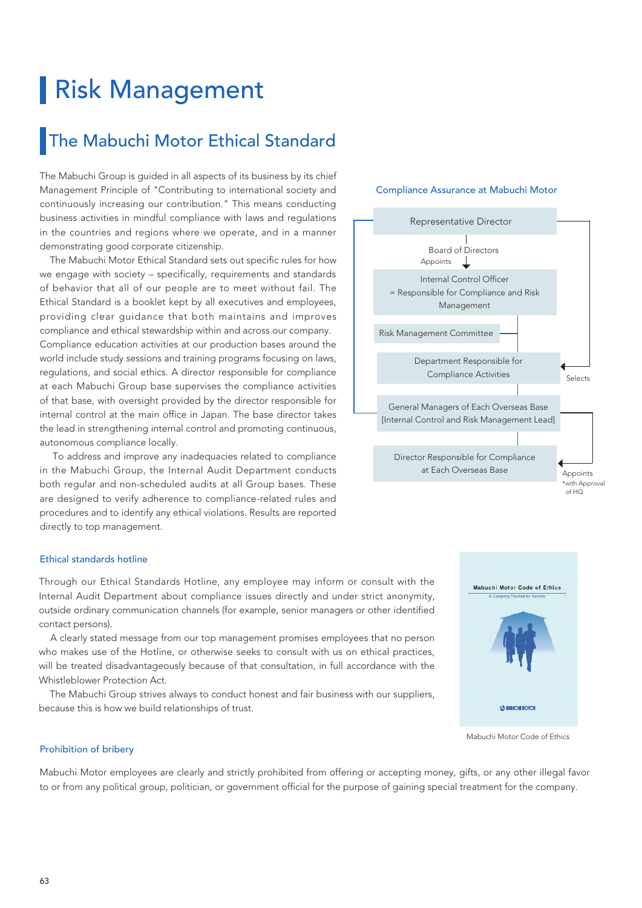# Risk Management

## The Mabuchi Motor Ethical Standard

The Mabuchi Group is guided in all aspects of its business by its chief Management Principle of "Contributing to international society and continuously increasing our contribution." This means conducting business activities in mindful compliance with laws and regulations in the countries and regions where we operate, and in a manner demonstrating good corporate citizenship.

 The Mabuchi Motor Ethical Standard sets out specific rules for how we engage with society – specifically, requirements and standards of behavior that all of our people are to meet without fail. The Ethical Standard is a booklet kept by all executives and employees, providing clear guidance that both maintains and improves compliance and ethical stewardship within and across our company. Compliance education activities at our production bases around the world include study sessions and training programs focusing on laws, regulations, and social ethics. A director responsible for compliance at each Mabuchi Group base supervises the compliance activities of that base, with oversight provided by the director responsible for internal control at the main office in Japan. The base director takes the lead in strengthening internal control and promoting continuous, autonomous compliance locally.

 To address and improve any inadequacies related to compliance in the Mabuchi Group, the Internal Audit Department conducts both regular and non-scheduled audits at all Group bases. These are designed to verify adherence to compliance-related rules and procedures and to identify any ethical violations. Results are reported directly to top management.

### Ethical standards hotline

Through our Ethical Standards Hotline, any employee may inform or consult with the Internal Audit Department about compliance issues directly and under strict anonymity, outside ordinary communication channels (for example, senior managers or other identified contact persons).

 A clearly stated message from our top management promises employees that no person who makes use of the Hotline, or otherwise seeks to consult with us on ethical practices, will be treated disadvantageously because of that consultation, in full accordance with the Whistleblower Protection Act.

 The Mabuchi Group strives always to conduct honest and fair business with our suppliers, because this is how we build relationships of trust.

## Representative Director Board of Directors Appoints ⊥ Internal Control Officer = Responsible for Compliance and Risk Management Risk Management Committee Department Responsible for Compliance Activities Selects General Managers of Each Overseas Base [Internal Control and Risk Management Lead] Director Responsible for Compliance at Each Overseas Base Appoints \*with Approval  $of HO$

Compliance Assurance at Mabuchi Motor



Mabuchi Motor Code of Ethics

#### Prohibition of bribery

Mabuchi Motor employees are clearly and strictly prohibited from offering or accepting money, gifts, or any other illegal favor to or from any political group, politician, or government official for the purpose of gaining special treatment for the company.